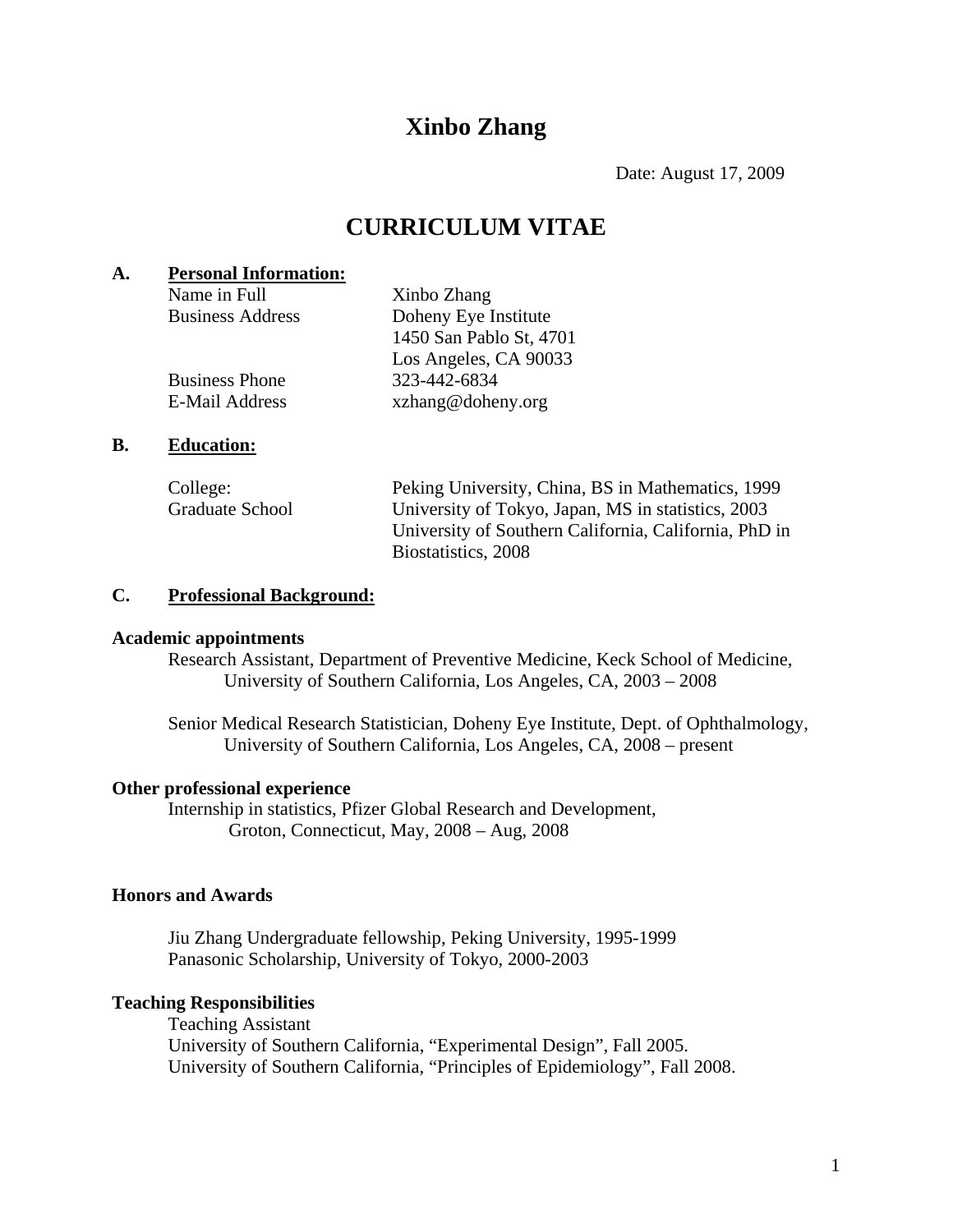# **Xinbo Zhang**

Date: August 17, 2009

## **CURRICULUM VITAE**

## **A. Personal Information:**

Name in Full Xinbo Zhang Business Address Doheny Eye Institute 1450 San Pablo St, 4701 Los Angeles, CA 90033 Business Phone 323-442-6834 E-Mail Address xzhang@doheny.org

## **B. Education:**

| College:               | Peking University, China, BS in Mathematics, 1999     |
|------------------------|-------------------------------------------------------|
| <b>Graduate School</b> | University of Tokyo, Japan, MS in statistics, 2003    |
|                        | University of Southern California, California, PhD in |
|                        | Biostatistics, 2008                                   |

## **C. Professional Background:**

## **Academic appointments**

Research Assistant, Department of Preventive Medicine, Keck School of Medicine, University of Southern California, Los Angeles, CA, 2003 – 2008

 Senior Medical Research Statistician, Doheny Eye Institute, Dept. of Ophthalmology, University of Southern California, Los Angeles, CA, 2008 – present

## **Other professional experience**

 Internship in statistics, Pfizer Global Research and Development, Groton, Connecticut, May, 2008 – Aug, 2008

## **Honors and Awards**

Jiu Zhang Undergraduate fellowship, Peking University, 1995-1999 Panasonic Scholarship, University of Tokyo, 2000-2003

## **Teaching Responsibilities**

Teaching Assistant University of Southern California, "Experimental Design", Fall 2005. University of Southern California, "Principles of Epidemiology", Fall 2008.